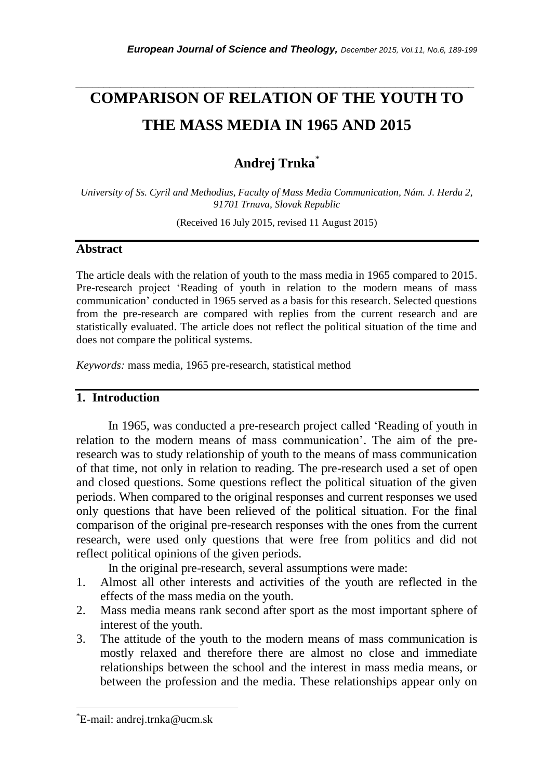# *\_\_\_\_\_\_\_\_\_\_\_\_\_\_\_\_\_\_\_\_\_\_\_\_\_\_\_\_\_\_\_\_\_\_\_\_\_\_\_\_\_\_\_\_\_\_\_\_\_\_\_\_\_\_\_\_\_\_\_\_\_\_\_\_\_\_\_\_\_\_\_* **COMPARISON OF RELATION OF THE YOUTH TO THE MASS MEDIA IN 1965 AND 2015**

# **Andrej Trnka**\*

*University of Ss. Cyril and Methodius, Faculty of Mass Media Communication, Nám. J. Herdu 2, 91701 Trnava, Slovak Republic*

(Received 16 July 2015, revised 11 August 2015)

#### **Abstract**

The article deals with the relation of youth to the mass media in 1965 compared to 2015. Pre-research project 'Reading of youth in relation to the modern means of mass communication' conducted in 1965 served as a basis for this research. Selected questions from the pre-research are compared with replies from the current research and are statistically evaluated. The article does not reflect the political situation of the time and does not compare the political systems.

*Keywords:* mass media, 1965 pre-research, statistical method

#### **1. Introduction**

In 1965, was conducted a pre-research project called 'Reading of youth in relation to the modern means of mass communication'. The aim of the preresearch was to study relationship of youth to the means of mass communication of that time, not only in relation to reading. The pre-research used a set of open and closed questions. Some questions reflect the political situation of the given periods. When compared to the original responses and current responses we used only questions that have been relieved of the political situation. For the final comparison of the original pre-research responses with the ones from the current research, were used only questions that were free from politics and did not reflect political opinions of the given periods.

In the original pre-research, several assumptions were made:

- 1. Almost all other interests and activities of the youth are reflected in the effects of the mass media on the youth.
- 2. Mass media means rank second after sport as the most important sphere of interest of the youth.
- 3. The attitude of the youth to the modern means of mass communication is mostly relaxed and therefore there are almost no close and immediate relationships between the school and the interest in mass media means, or between the profession and the media. These relationships appear only on

l

<sup>\*</sup>E-mail: andrej.trnka@ucm.sk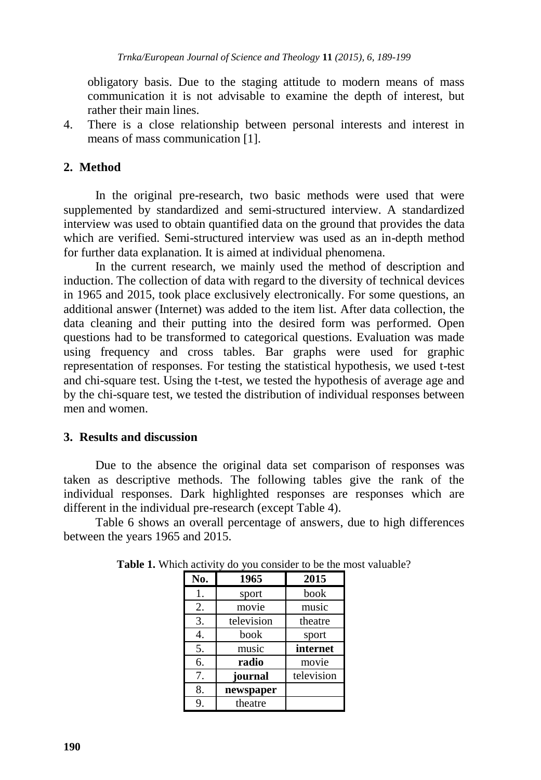obligatory basis. Due to the staging attitude to modern means of mass communication it is not advisable to examine the depth of interest, but rather their main lines.

4. There is a close relationship between personal interests and interest in means of mass communication [1].

# **2. Method**

In the original pre-research, two basic methods were used that were supplemented by standardized and semi-structured interview. A standardized interview was used to obtain quantified data on the ground that provides the data which are verified. Semi-structured interview was used as an in-depth method for further data explanation. It is aimed at individual phenomena.

In the current research, we mainly used the method of description and induction. The collection of data with regard to the diversity of technical devices in 1965 and 2015, took place exclusively electronically. For some questions, an additional answer (Internet) was added to the item list. After data collection, the data cleaning and their putting into the desired form was performed. Open questions had to be transformed to categorical questions. Evaluation was made using frequency and cross tables. Bar graphs were used for graphic representation of responses. For testing the statistical hypothesis, we used t-test and chi-square test. Using the t-test, we tested the hypothesis of average age and by the chi-square test, we tested the distribution of individual responses between men and women.

## **3. Results and discussion**

Due to the absence the original data set comparison of responses was taken as descriptive methods. The following tables give the rank of the individual responses. Dark highlighted responses are responses which are different in the individual pre-research (except Table 4).

Table 6 shows an overall percentage of answers, due to high differences between the years 1965 and 2015.

| No. | 1965       | 2015       |
|-----|------------|------------|
| 1.  | sport      | book       |
| 2.  | movie      | music      |
| 3.  | television | theatre    |
| 4.  | book       | sport      |
| 5.  | music      | internet   |
| 6.  | radio      | movie      |
| 7.  | journal    | television |
| 8.  | newspaper  |            |
| 9.  | theatre    |            |

**Table 1.** Which activity do you consider to be the most valuable?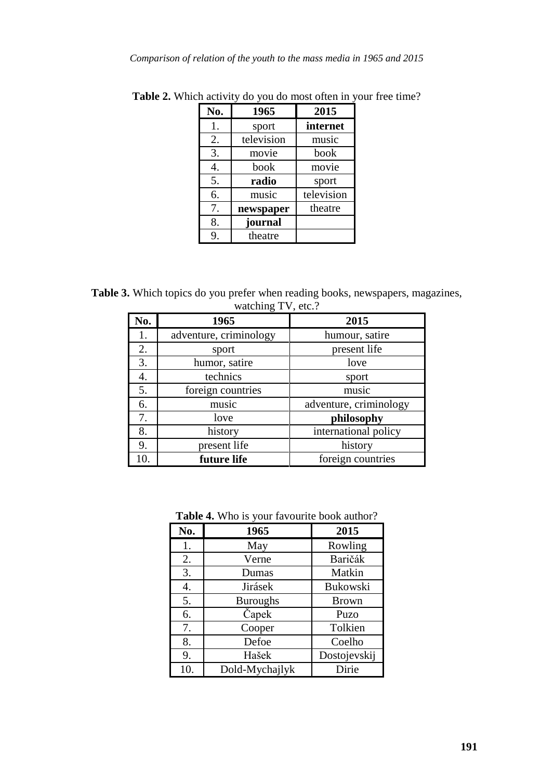| No. | 1965       | 2015       |
|-----|------------|------------|
| 1.  | sport      | internet   |
| 2.  | television | music      |
| 3.  | movie      | book       |
| 4.  | book       | movie      |
| 5.  | radio      | sport      |
| 6.  | music      | television |
| 7.  | newspaper  | theatre    |
| 8.  | journal    |            |
| 9.  | theatre    |            |

**Table 2.** Which activity do you do most often in your free time?

**Table 3.** Which topics do you prefer when reading books, newspapers, magazines, watching TV, etc.?

| No. | 1965                   | 2015                   |
|-----|------------------------|------------------------|
| 1.  | adventure, criminology | humour, satire         |
| 2.  | sport                  | present life           |
| 3.  | humor, satire          | love                   |
| 4.  | technics               | sport                  |
| 5.  | foreign countries      | music                  |
| 6.  | music                  | adventure, criminology |
| 7.  | love                   | philosophy             |
| 8.  | history                | international policy   |
| 9.  | present life           | history                |
| 10. | future life            | foreign countries      |

**Table 4.** Who is your favourite book author?

| No. | 1965            | 2015         |
|-----|-----------------|--------------|
| 1.  | May             | Rowling      |
| 2.  | Verne           | Baričák      |
| 3.  | Dumas           | Matkin       |
| 4.  | Jirásek         | Bukowski     |
| 5.  | <b>Buroughs</b> | <b>Brown</b> |
| 6.  | Čapek           | Puzo         |
| 7.  | Cooper          | Tolkien      |
| 8.  | Defoe           | Coelho       |
| 9.  | Hašek           | Dostojevskij |
| 10. | Dold-Mychajlyk  | Dirie        |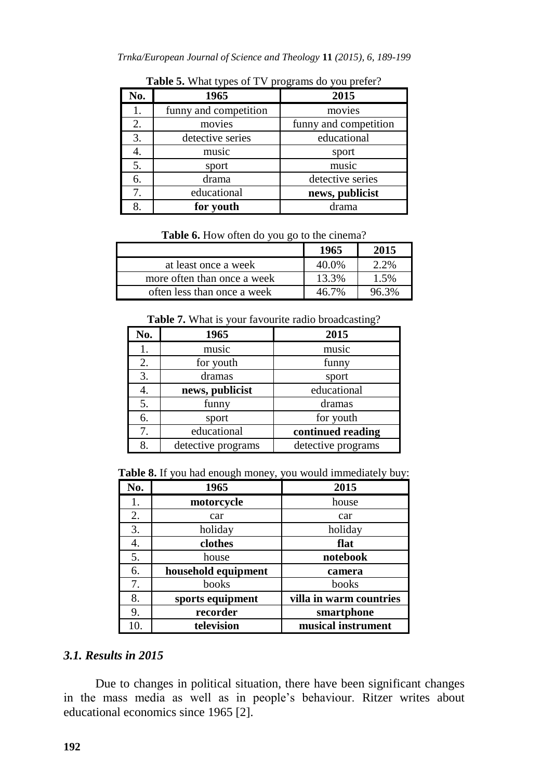| No. | 1965                  | 2015                  |
|-----|-----------------------|-----------------------|
| 1.  | funny and competition | movies                |
| 2.  | movies                | funny and competition |
| 3.  | detective series      | educational           |
| 4.  | music                 | sport                 |
| 5.  | sport                 | music                 |
| 6.  | drama                 | detective series      |
| 7.  | educational           | news, publicist       |
| 8.  | for youth             | drama                 |

Table 5. What types of TV programs do you prefer?

|  |  |  |  |  |  | Table 6. How often do you go to the cinema? |
|--|--|--|--|--|--|---------------------------------------------|
|--|--|--|--|--|--|---------------------------------------------|

|                             | 1965  | 2015 |
|-----------------------------|-------|------|
| at least once a week        | 40.0% | 2.2% |
| more often than once a week | 13.3% | 1.5% |
| often less than once a week | 46 7% |      |

Table 7. What is your favourite radio broadcasting?

| No. | 1965               | 2015               |
|-----|--------------------|--------------------|
| 1.  | music              | music              |
| 2.  | for youth          | funny              |
| 3.  | dramas             | sport              |
| 4.  | news, publicist    | educational        |
| 5.  | funny              | dramas             |
| 6.  | sport              | for youth          |
| 7.  | educational        | continued reading  |
| 8.  | detective programs | detective programs |

**Table 8.** If you had enough money, you would immediately buy:

| No. | 1965                | 2015                    |
|-----|---------------------|-------------------------|
| 1.  | motorcycle          | house                   |
| 2.  | car                 | car                     |
| 3.  | holiday             | holiday                 |
| 4.  | clothes             | flat                    |
| 5.  | house               | notebook                |
| 6.  | household equipment | camera                  |
| 7.  | books               | books                   |
| 8.  | sports equipment    | villa in warm countries |
| 9.  | recorder            | smartphone              |
| 10. | television          | musical instrument      |

# *3.1. Results in 2015*

Due to changes in political situation, there have been significant changes in the mass media as well as in people's behaviour. Ritzer writes about educational economics since 1965 [2].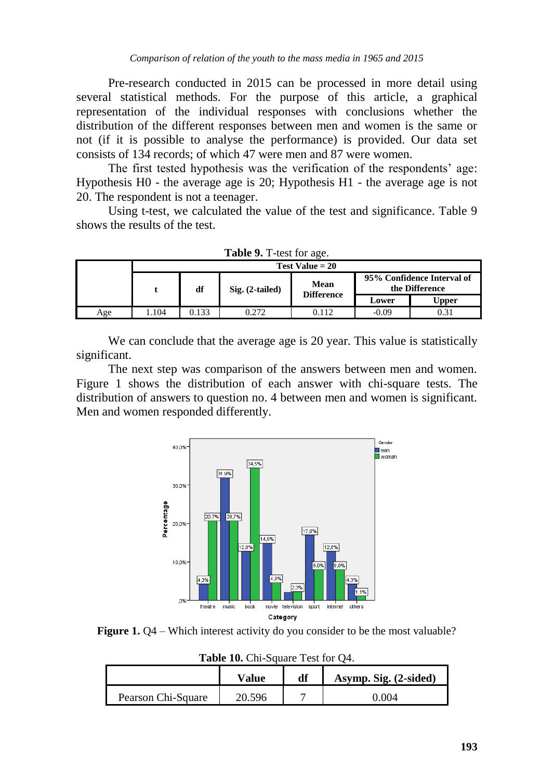Pre-research conducted in 2015 can be processed in more detail using several statistical methods. For the purpose of this article, a graphical representation of the individual responses with conclusions whether the distribution of the different responses between men and women is the same or not (if it is possible to analyse the performance) is provided. Our data set consists of 134 records; of which 47 were men and 87 were women.

The first tested hypothesis was the verification of the respondents' age: Hypothesis H0 - the average age is 20; Hypothesis H1 - the average age is not 20. The respondent is not a teenager.

Using t-test, we calculated the value of the test and significance. Table 9 shows the results of the test.

| <b>THE 2.</b> I test for $u \in C$ . |                   |       |                                                                                                |       |         |       |  |  |  |
|--------------------------------------|-------------------|-------|------------------------------------------------------------------------------------------------|-------|---------|-------|--|--|--|
|                                      | Test Value $= 20$ |       |                                                                                                |       |         |       |  |  |  |
|                                      |                   | df    | 95% Confidence Interval of<br>Mean<br>the Difference<br>$Sig. (2-tailed)$<br><b>Difference</b> |       |         |       |  |  |  |
|                                      |                   |       |                                                                                                |       | Lower   | Upper |  |  |  |
| Age                                  | 1.104ء            | 0.133 | 0.272                                                                                          | 0.112 | $-0.09$ | 0.31  |  |  |  |

| Table 9. T-test for age. |
|--------------------------|
|--------------------------|

We can conclude that the average age is 20 year. This value is statistically significant.

The next step was comparison of the answers between men and women. Figure 1 shows the distribution of each answer with chi-square tests. The distribution of answers to question no. 4 between men and women is significant. Men and women responded differently.



**Figure 1.** O4 – Which interest activity do you consider to be the most valuable?

**Table 10.** Chi-Square Test for Q4.

|                    | Value  | df | Asymp. Sig. (2-sided) |
|--------------------|--------|----|-----------------------|
| Pearson Chi-Square | 20.596 |    | 0.004                 |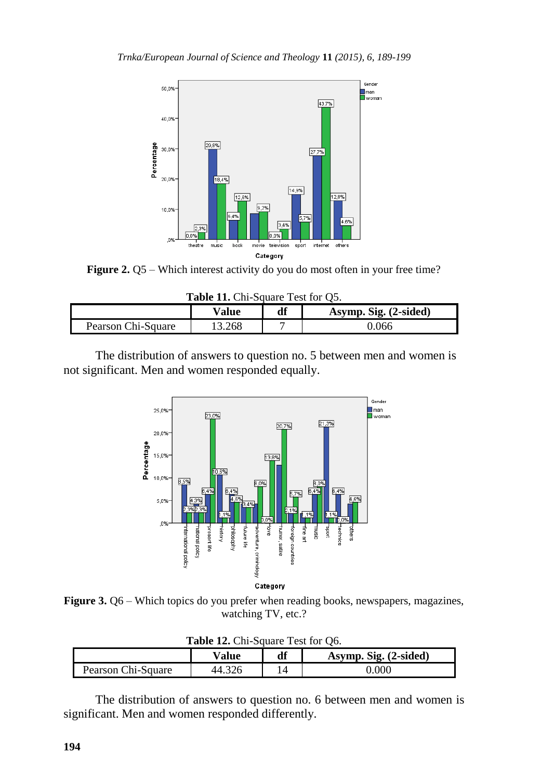

**Figure 2.** Q5 – Which interest activity do you do most often in your free time?

**Table 11.** Chi-Square Test for Q5.

|                    | Value | df | Asymp. Sig. (2-sided) |
|--------------------|-------|----|-----------------------|
| Pearson Chi-Square | .268  | -  | 1.066                 |

The distribution of answers to question no. 5 between men and women is not significant. Men and women responded equally.



**Figure 3.** Q6 – Which topics do you prefer when reading books, newspapers, magazines, watching TV, etc.?

| <b>Table 12. Chi-Square Test for Ob.</b> |                                      |  |       |  |  |  |
|------------------------------------------|--------------------------------------|--|-------|--|--|--|
|                                          | df<br>Asymp. Sig. (2-sided)<br>Value |  |       |  |  |  |
| Pearson Chi-Square                       | 44.326                               |  | 0.000 |  |  |  |

**Table 12.** Chi-Square Test for Q6.

The distribution of answers to question no. 6 between men and women is significant. Men and women responded differently.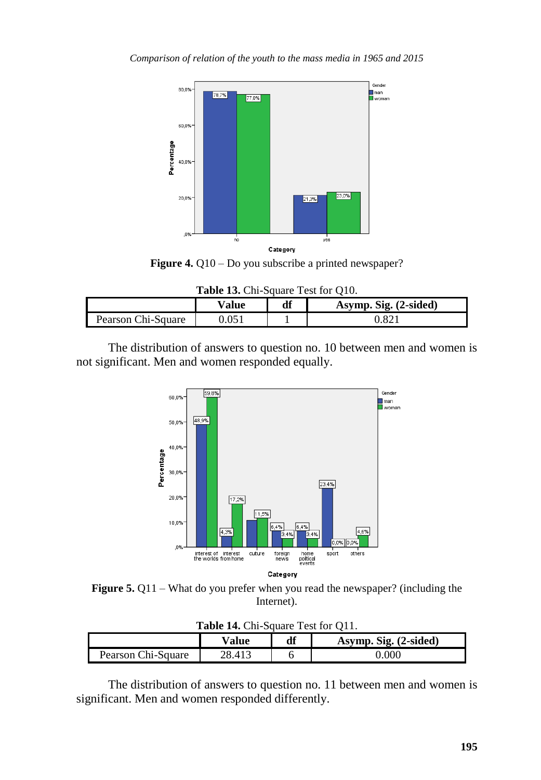

**Figure 4.** Q10 – Do you subscribe a printed newspaper?

**Table 13.** Chi-Square Test for Q10.

|                    | $\mathrm{v}_\mathbf{alue}$ | df | Asymp. Sig. (2-sided) |
|--------------------|----------------------------|----|-----------------------|
| Pearson Chi-Square |                            |    | . 82°                 |

The distribution of answers to question no. 10 between men and women is not significant. Men and women responded equally.



**Figure 5.** Q11 – What do you prefer when you read the newspaper? (including the Internet).

| <b>Table 14. Chi-Square Test for OTT.</b> |        |    |                       |  |
|-------------------------------------------|--------|----|-----------------------|--|
|                                           | Value  | df | Asymp. Sig. (2-sided) |  |
| Pearson Chi-Square                        | 28.413 |    | 0.000                 |  |

**Table 14.** Chi-Square Test for Q11.

The distribution of answers to question no. 11 between men and women is significant. Men and women responded differently.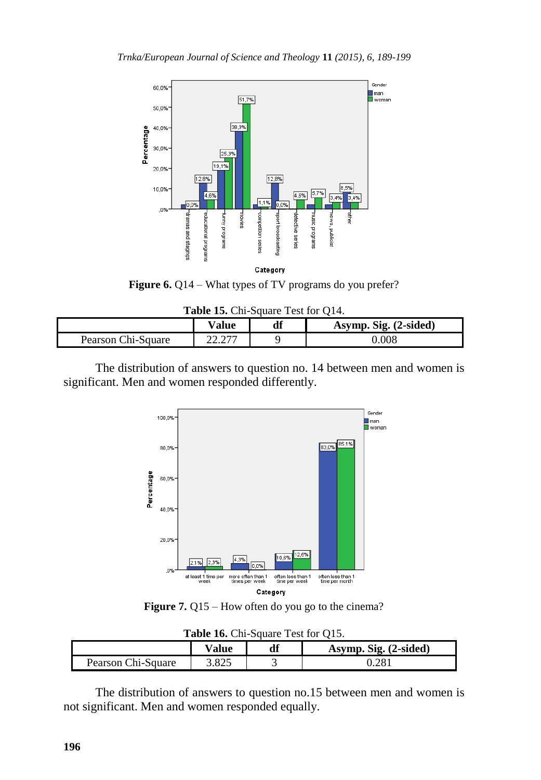

**Figure 6.** Q14 – What types of TV programs do you prefer?

| Table 15. Chi-Square Test for Q14. |  |  |  |  |  |  |  |
|------------------------------------|--|--|--|--|--|--|--|
|------------------------------------|--|--|--|--|--|--|--|

|                    | ∨alue | df | Asymp. Sig. (2-sided) |
|--------------------|-------|----|-----------------------|
| Pearson Chi-Square | .     |    | 0.008                 |

The distribution of answers to question no. 14 between men and women is significant. Men and women responded differently.



**Figure 7.** Q15 – How often do you go to the cinema?

| <b>Table 10.</b> Cm-Square Test for QT5. |                                |  |       |  |  |  |
|------------------------------------------|--------------------------------|--|-------|--|--|--|
|                                          | Asymp. Sig. (2-sided)<br>Value |  |       |  |  |  |
| Pearson Chi-Square                       | 3.825                          |  | 0.281 |  |  |  |

**Table 16.** Chi-Square Test for Q15.

The distribution of answers to question no.15 between men and women is not significant. Men and women responded equally.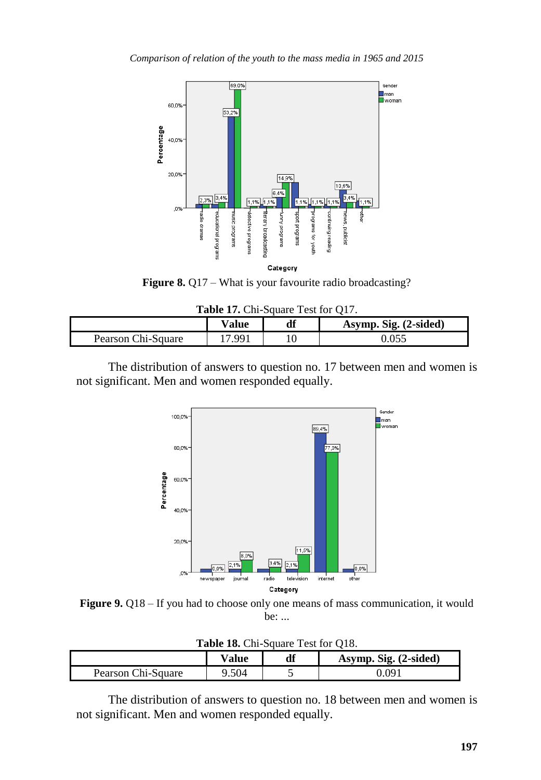

Figure 8. Q17 – What is your favourite radio broadcasting?

|  | Table 17. Chi-Square Test for Q17. |  |  |
|--|------------------------------------|--|--|
|  |                                    |  |  |

|                    | $\mathrm{V}$ alue | df | Asymp. Sig. (2-sided) |
|--------------------|-------------------|----|-----------------------|
| Pearson Chi-Square | 17 QQ 1           |    |                       |

The distribution of answers to question no. 17 between men and women is not significant. Men and women responded equally.



**Figure 9.** Q18 – If you had to choose only one means of mass communication, it would be: ...

**Table 18.** Chi-Square Test for Q18.

|                    | $\mathrm{v}_\mathbf{alue}$ | df | Asymp. Sig. (2-sided) |  |  |  |
|--------------------|----------------------------|----|-----------------------|--|--|--|
| Pearson Chi-Square | .504                       |    | ) ()91                |  |  |  |

The distribution of answers to question no. 18 between men and women is not significant. Men and women responded equally.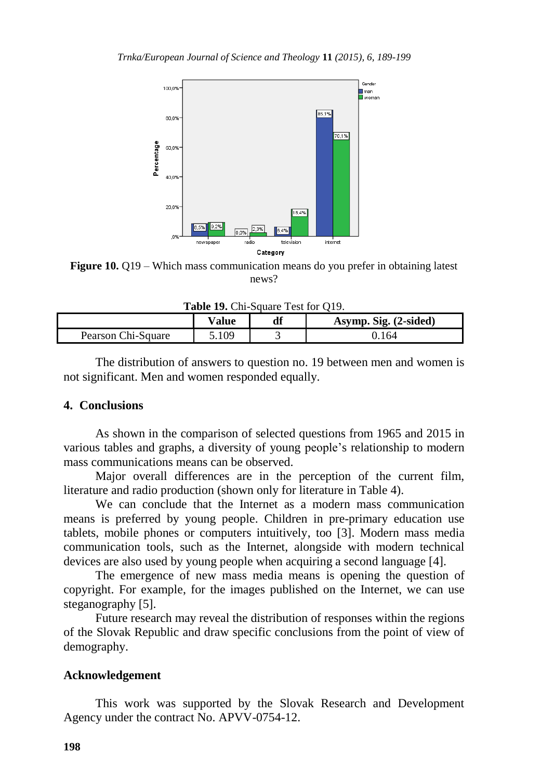

**Figure 10.** Q19 – Which mass communication means do you prefer in obtaining latest news?

Table 19. Chi-Square Test for O19.

|                    | $^{\mathrm{v}}$ alue | df | Asymp. Sig. (2-sided) |  |  |  |
|--------------------|----------------------|----|-----------------------|--|--|--|
| Pearson Chi-Square | 109                  |    | 0.164                 |  |  |  |

The distribution of answers to question no. 19 between men and women is not significant. Men and women responded equally.

#### **4. Conclusions**

As shown in the comparison of selected questions from 1965 and 2015 in various tables and graphs, a diversity of young people's relationship to modern mass communications means can be observed.

Major overall differences are in the perception of the current film, literature and radio production (shown only for literature in Table 4).

We can conclude that the Internet as a modern mass communication means is preferred by young people. Children in pre-primary education use tablets, mobile phones or computers intuitively, too [3]. Modern mass media communication tools, such as the Internet, alongside with modern technical devices are also used by young people when acquiring a second language [4].

The emergence of new mass media means is opening the question of copyright. For example, for the images published on the Internet, we can use steganography [5].

Future research may reveal the distribution of responses within the regions of the Slovak Republic and draw specific conclusions from the point of view of demography.

#### **Acknowledgement**

This work was supported by the Slovak Research and Development Agency under the contract No. APVV-0754-12.